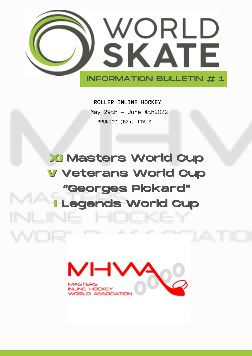

# **ROLLER INLINE HOCKEY**

May 29th – June 4th2022 BRUNICO (BZ), ITALY

# **XI** Masters World Cup **V** Veterans World Cup "Georges Pickard" **I** Legends World Cup

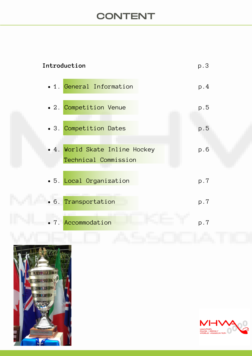# **CONTENT**

| p.3 |
|-----|
| p.4 |
| p.5 |
| p.5 |
| p.6 |
| p.7 |
| p.7 |
| p.7 |
|     |



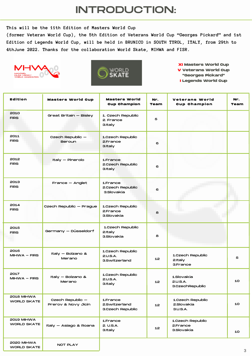# INTRODUCTION:

**This will be the 11th Edition of Masters World Cup**

**(former Veteran World Cup), the 5th Edition of Veterans World Cup "Georges Pickard" and 1st Edition of Legends World Cup, will be held in BRUNICO in SOUTH TYROL, ITALY, from 29th to 4thJune 2022. Thanks for the collaboration World Skate, MIHWA and FISR.**





**XI Masters World Cup V Veterans World Cup "Georges Pickard" I Legends World Cup**

| <b>Edition</b>                   | <b>Masters World Cup</b>                | <b>Masters World</b>                          | Nr.  | <b>Veterans World</b>                      | Nr.  |
|----------------------------------|-----------------------------------------|-----------------------------------------------|------|--------------------------------------------|------|
|                                  |                                         | <b>Cup Champion</b>                           | Team | <b>Cup Champion</b>                        | Team |
| 2010<br><b>FIRS</b>              | Great Britain - Bisley                  | 1. Czech Republic<br>2. France<br>3.Italy     | 5    |                                            |      |
| 2011<br><b>FIRS</b>              | Czech Republic -<br><b>Beroun</b>       | 1.Czech Republic<br>2.France<br>3.Italy       | 6    |                                            |      |
| 2012<br><b>FIRS</b>              | Italy - Pinerolo                        | 1.France<br>2.Czech Republic<br>3.Italy       | 6    |                                            |      |
| 2013<br><b>FIRS</b>              | $France - Anglet$                       | 1.France<br>2.Czech Republic<br>3.Slovakia    | 6    |                                            |      |
| 2014<br><b>FIRS</b>              | Czech Republic - Prague                 | 1.Czech Republic<br>2.France<br>3.Slovakia    | 8    |                                            |      |
| 2015<br><b>FIRS</b>              | Germany – Düsseldorf                    | 1.Czech Republic<br>2.Italy<br>3.Slovakia     | 8    |                                            |      |
| 2016<br>$MHWA - FIRS$            | Italy - Bolzano &<br>Merano             | 1.Czech Republic<br>2.U.S.A.<br>3.Switzerland | 12   | 1.Czech Republic<br>$2$ .Italy<br>3.France | 5    |
| 2017<br>$MHWA - FIRS$            | Italy - Bolzano &<br>Merano             | 1.Czech Republic<br>2.U.S.A.<br>3.Italy       | 12   | 1.Slovakia<br>2.U.S.A.<br>3.CzechRepublic  | 10   |
| 2018 MIHWA<br><b>WORLD SKATE</b> | Czech Republic -<br>Prerov & Novy Jicin | 1.France<br>2.Switzerland<br>3.Czech Republic | 12   | 1.Czech Republic<br>2.Slovakia<br>3.U.S.A. | 10   |
| 2019 MIHWA<br><b>WORLD SKATE</b> | Italy - Asiago & Roana                  | 1.France<br>2. U.S.A.<br>3.Italy              | 12   | 1.Czech Republic<br>2.France<br>3.Slovakia | 10   |
| 2020 MIHWA<br><b>WORLD SKATE</b> | NOT PLAY                                |                                               |      |                                            |      |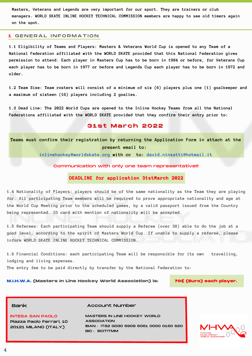**Masters, Veterans and Legends are very important for our sport. They are trainers or club managers. WORLD SKATE INLINE HOCKEY TECHNICAL COMMISSION members are happy to see old timers again on the spot.**

#### 1 GENERAL INFORMATION

**1.1 Eligibility of Teams and Players: Masters & Veterans World Cup is opened to any Team of a National Federation affiliated with the WORLD SKATE provided that this National Federation gives** permission to attend. Each player in Masters Cup has to be born in 1984 or before, for Veterans Cup each player has to be born in 1977 or before and Legends Cup each player has to be born in 1972 and **older.**

1.2 Team Size: Team rosters will consist of a minimum of six (6) players plus one (1) goalkeeper and **a maximum of sixteen (16) players including 2 goalies.**

**1.3 Dead Line: The 2022 World Cups are opened to the Inline Hockey Teams from all the National Federations affiliated with the WORLD SKATE provided that they confirm their entry prior to:**

### 31 st March 2022

**Teams must confirm their registration by returning the Application Form in attach at the present email to:**

**inlinehockey@worldskate.org with cc to: david.ninzatti@hotmail.it**

Communication with only one team representative!!!

### **DEADLINE for application 31stMarch 2022**

**1.4 Nationality of Players: players should be of the same nationality as the Team they are playing for. All participating Team members will be required to prove appropriate nationality and age at the World Cup Meeting prior to the scheduled games, by a valid passport issued from the Country being represented. ID card with mention of nationality will be accepted.**

**1.5 Referees: Each participating Team should supply a Referee (over 38) able to do the job at a good level, according to the spirit of Masters World Cup. If unable to supply a referee, please inform WORLD SKATE INLINE HOCKEY TECHNICAL COMMISSION.**

**1.6 Financial Conditions: each participating Team will be responsible for its own travelling, lodging and living expenses.**

**The entry fee to be paid directly by transfer by the National Federation to:**

**M.I.H.W.A. (Masters In Line Hockey World Association) is: 70€ (Euro) each player.**

Bank **Bank** Account Number

INTESA SAN PAOLO Piazza Paolo Ferrari, 10 20121 MILANO (ITALY)

MASTERS IN LINE HOCKEY WORLD ASSOCIATION IBAN : IT82 G030 6909 6061 0000 0150 520 BIC : BCITITMM

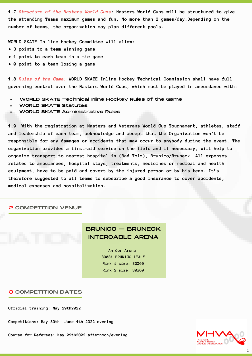**1.7** *Structure of the Masters World Cups***: Masters World Cups will be structured to give the attending Teams maximum games and fun. No more than 2 games/day.Depending on the number of teams, the organization may plan different pools.**

**WORLD SKATE In line Hockey Committee will allow:**

- **• 3 points to a team winning game**
- **• 1 point to each team in a tie game**
- **• 0 point to a team losing a game**

**1.8** *Rules of the Game:* **WORLD SKATE Inline Hockey Technical Commission shall have full governing control over the Masters World Cups, which must be played in accordance with:**

- WORLD SKATE Technical Inline Hockey Rules of the Game
- WORLD SKATE Statutes
- WORLD SKATE Administrative Rules

**1.9 With the registration at Masters and Veterans World Cup Tournament, athletes, staff and leadership of each team, acknowledge and accept that the Organization won't be responsible for any damages or accidents that may occur to anybody during the event. The organization provides a first-aid service on the field and if necessary, will help to organize transport to nearest hospital in (Bad Tolz), Brunico/Bruneck. All expenses related to ambulances, hospital stays, treatments, medicines or medical and health equipment, have to be paid and covert by the injured person or by his team. It's therefore suggested to all teams to subscribe a good insurance to cover accidents, medical expenses and hospitalization.**

#### 2 COMPETITION VENUE

# BRUNICO – BRUNECK INTERCABLE ARENA

**An der Arena 39031 BRUNICO ITALY Rink 1 size: 30X60 Rink 2 size: 30x60**

#### 3 COMPETITION DATES

**Official training: May 29th2022**

**Competitions: May 30th– June 4th 2022 evening**

**Course for Referees: May 29th2022 afternoon/evening**

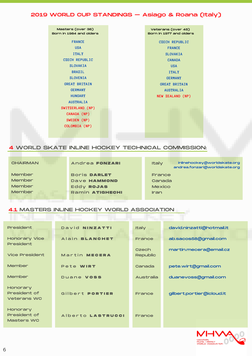# 2019 WORLD CUP STANDINGS – Asiago & Roana (Italy)

| Masters (over 38)<br>Born in 1984 and olders | Veterans (over 45)<br>Born in 1977 and olders |
|----------------------------------------------|-----------------------------------------------|
| <b>FRANCE</b>                                | <b>CZECH REPUBLIC</b>                         |
| <b>USA</b>                                   | <b>FRANCE</b>                                 |
| <b>ITALY</b>                                 | <b>SLOVAKIA</b>                               |
| <b>CZECH REPUBLIC</b>                        | <b>CANADA</b>                                 |
| <b>SLOVAKIA</b>                              | <b>USA</b>                                    |
| <b>BRAZIL</b>                                | <b>ITALY</b>                                  |
| <b>SLOVENIA</b>                              | <b>GERMANY</b>                                |
| <b>GREAT BRITAIN</b>                         | <b>GREAT BRITAIN</b>                          |
| <b>GERMANY</b>                               | <b>AUSTRALIA</b>                              |
| <b>HUNGARY</b>                               | NEW ZEALAND (NP)                              |
| <b>AUSTRALIA</b>                             |                                               |
| SWITZERLAND (NP)                             |                                               |
| CANADA (NP)                                  |                                               |
| SWEDEN (NP)                                  |                                               |
| COLOMBIA (NP)                                |                                               |
|                                              |                                               |
|                                              |                                               |

# 4 WORLD SKATE INLINE HOCKEY TECHNICAL COMMISSION:

| CHAIRMAN |  |
|----------|--|
| Member   |  |
| Member   |  |
| Member   |  |
| Member   |  |

Andrea **FONZAR I**

Bor is **DAR LE T** Dave **HAMMOND** Eddy **ROJAS** Ramin **AT IGHECHI** **Italy** France Canada **Mexico** Iran inlinehockey@worldskate.org andrea.fonzari@worldskate.org

# 4.1 MASTERS INLINE HOCKEY WORLD ASSOCIATION

| <b>President</b><br><b>Honorary Vice</b><br><b>President</b> | David NINZATTI<br>Alain BLANCHET | <b>Italy</b><br>France   | david.ninzatti@hotmail.it<br>ab.sacos58@gmail.com |
|--------------------------------------------------------------|----------------------------------|--------------------------|---------------------------------------------------|
| <b>Vice President</b>                                        | Martin MECERA                    | Czech<br><b>Republic</b> | martin.mecera@email.cz                            |
| Member                                                       | Pete WIRT                        | Canada                   | pete.wirt@gmail.com                               |
| Member                                                       | Duane <b>VOSS</b>                | <b>Australia</b>         | duanevoss@gmail.com                               |
| Honorary<br><b>President of</b><br><b>Veterans WC</b>        | Gilbert PORTIER                  | France                   | gilbert.portier@icloud.it                         |
| Honorary<br><b>President of</b><br><b>Masters WC</b>         | Alberto LASTRUCCI                | France                   |                                                   |